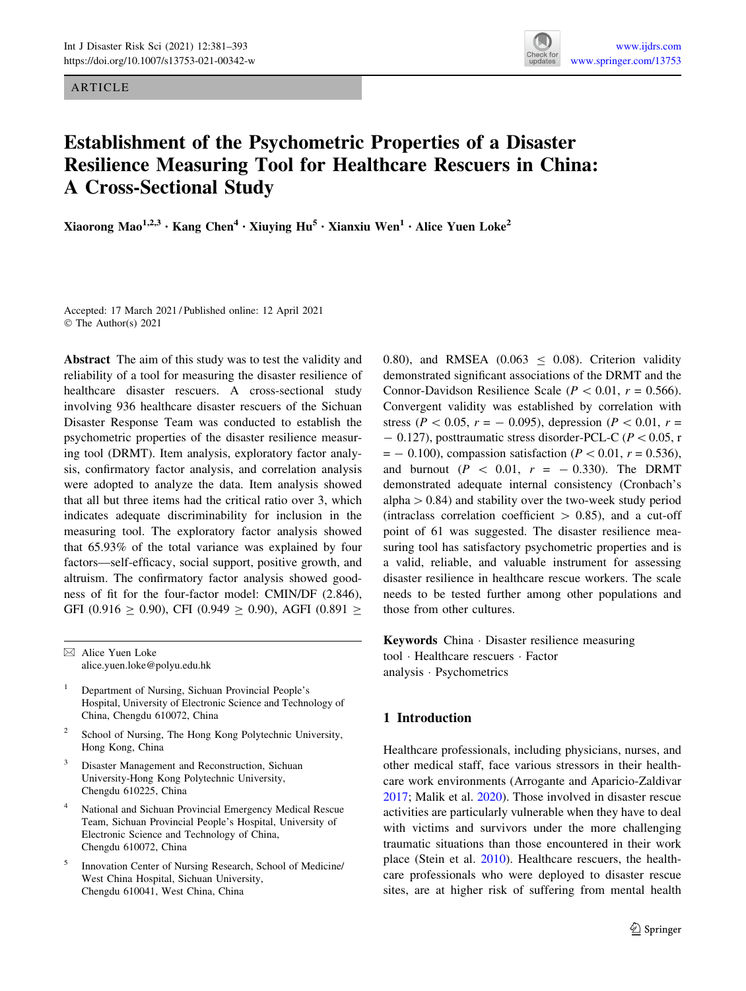ARTICLE



# Establishment of the Psychometric Properties of a Disaster Resilience Measuring Tool for Healthcare Rescuers in China: A Cross-Sectional Study

Xiaorong Mao<sup>1,2,3</sup> • Kang Chen<sup>4</sup> • Xiuying Hu<sup>5</sup> • Xianxiu Wen<sup>1</sup> • Alice Yuen Loke<sup>2</sup>

Accepted: 17 March 2021 / Published online: 12 April 2021 © The Author(s) 2021

Abstract The aim of this study was to test the validity and reliability of a tool for measuring the disaster resilience of healthcare disaster rescuers. A cross-sectional study involving 936 healthcare disaster rescuers of the Sichuan Disaster Response Team was conducted to establish the psychometric properties of the disaster resilience measuring tool (DRMT). Item analysis, exploratory factor analysis, confirmatory factor analysis, and correlation analysis were adopted to analyze the data. Item analysis showed that all but three items had the critical ratio over 3, which indicates adequate discriminability for inclusion in the measuring tool. The exploratory factor analysis showed that 65.93% of the total variance was explained by four factors—self-efficacy, social support, positive growth, and altruism. The confirmatory factor analysis showed goodness of fit for the four-factor model: CMIN/DF (2.846), GFI (0.916  $\geq$  0.90), CFI (0.949  $\geq$  0.90), AGFI (0.891  $\geq$ 

- <sup>1</sup> Department of Nursing, Sichuan Provincial People's Hospital, University of Electronic Science and Technology of China, Chengdu 610072, China
- School of Nursing, The Hong Kong Polytechnic University, Hong Kong, China
- Disaster Management and Reconstruction, Sichuan University-Hong Kong Polytechnic University, Chengdu 610225, China
- <sup>4</sup> National and Sichuan Provincial Emergency Medical Rescue Team, Sichuan Provincial People's Hospital, University of Electronic Science and Technology of China, Chengdu 610072, China
- <sup>5</sup> Innovation Center of Nursing Research, School of Medicine/ West China Hospital, Sichuan University, Chengdu 610041, West China, China

0.80), and RMSEA (0.063  $\leq$  0.08). Criterion validity demonstrated significant associations of the DRMT and the Connor-Davidson Resilience Scale ( $P < 0.01$ ,  $r = 0.566$ ). Convergent validity was established by correlation with stress ( $P < 0.05$ ,  $r = -0.095$ ), depression ( $P < 0.01$ ,  $r =$  $-$  0.127), posttraumatic stress disorder-PCL-C ( $P < 0.05$ , r  $= -0.100$ , compassion satisfaction ( $P \lt 0.01$ ,  $r = 0.536$ ), and burnout ( $P \, < 0.01$ ,  $r = -0.330$ ). The DRMT demonstrated adequate internal consistency (Cronbach's alpha  $> 0.84$ ) and stability over the two-week study period (intraclass correlation coefficient  $> 0.85$ ), and a cut-off point of 61 was suggested. The disaster resilience measuring tool has satisfactory psychometric properties and is a valid, reliable, and valuable instrument for assessing disaster resilience in healthcare rescue workers. The scale needs to be tested further among other populations and those from other cultures.

Keywords China - Disaster resilience measuring tool - Healthcare rescuers - Factor analysis - Psychometrics

# 1 Introduction

Healthcare professionals, including physicians, nurses, and other medical staff, face various stressors in their healthcare work environments (Arrogante and Aparicio-Zaldivar [2017](#page-10-0); Malik et al. [2020](#page-11-0)). Those involved in disaster rescue activities are particularly vulnerable when they have to deal with victims and survivors under the more challenging traumatic situations than those encountered in their work place (Stein et al.  $2010$ ). Healthcare rescuers, the healthcare professionals who were deployed to disaster rescue sites, are at higher risk of suffering from mental health

 $\boxtimes$  Alice Yuen Loke alice.yuen.loke@polyu.edu.hk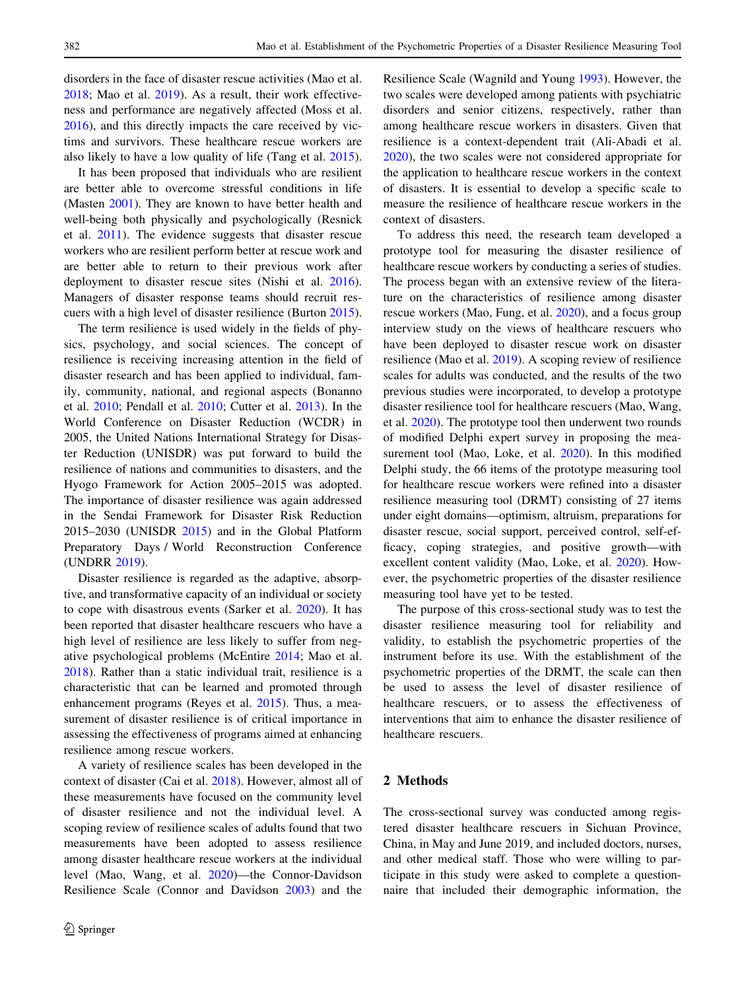disorders in the face of disaster rescue activities (Mao et al. [2018;](#page-11-0) Mao et al. [2019\)](#page-11-0). As a result, their work effectiveness and performance are negatively affected (Moss et al. [2016\)](#page-11-0), and this directly impacts the care received by victims and survivors. These healthcare rescue workers are also likely to have a low quality of life (Tang et al. [2015](#page-11-0)).

It has been proposed that individuals who are resilient are better able to overcome stressful conditions in life (Masten [2001](#page-11-0)). They are known to have better health and well-being both physically and psychologically (Resnick et al. [2011\)](#page-11-0). The evidence suggests that disaster rescue workers who are resilient perform better at rescue work and are better able to return to their previous work after deployment to disaster rescue sites (Nishi et al. [2016](#page-11-0)). Managers of disaster response teams should recruit rescuers with a high level of disaster resilience (Burton [2015](#page-10-0)).

The term resilience is used widely in the fields of physics, psychology, and social sciences. The concept of resilience is receiving increasing attention in the field of disaster research and has been applied to individual, family, community, national, and regional aspects (Bonanno et al. [2010;](#page-10-0) Pendall et al. [2010;](#page-11-0) Cutter et al. [2013](#page-10-0)). In the World Conference on Disaster Reduction (WCDR) in 2005, the United Nations International Strategy for Disaster Reduction (UNISDR) was put forward to build the resilience of nations and communities to disasters, and the Hyogo Framework for Action 2005–2015 was adopted. The importance of disaster resilience was again addressed in the Sendai Framework for Disaster Risk Reduction 2015–2030 (UNISDR [2015\)](#page-12-0) and in the Global Platform Preparatory Days / World Reconstruction Conference (UNDRR [2019](#page-11-0)).

Disaster resilience is regarded as the adaptive, absorptive, and transformative capacity of an individual or society to cope with disastrous events (Sarker et al. [2020\)](#page-11-0). It has been reported that disaster healthcare rescuers who have a high level of resilience are less likely to suffer from negative psychological problems (McEntire [2014;](#page-11-0) Mao et al. [2018\)](#page-11-0). Rather than a static individual trait, resilience is a characteristic that can be learned and promoted through enhancement programs (Reyes et al. [2015](#page-11-0)). Thus, a measurement of disaster resilience is of critical importance in assessing the effectiveness of programs aimed at enhancing resilience among rescue workers.

A variety of resilience scales has been developed in the context of disaster (Cai et al. [2018\)](#page-10-0). However, almost all of these measurements have focused on the community level of disaster resilience and not the individual level. A scoping review of resilience scales of adults found that two measurements have been adopted to assess resilience among disaster healthcare rescue workers at the individual level (Mao, Wang, et al. [2020](#page-11-0))—the Connor-Davidson Resilience Scale (Connor and Davidson [2003](#page-10-0)) and the Resilience Scale (Wagnild and Young [1993\)](#page-12-0). However, the two scales were developed among patients with psychiatric disorders and senior citizens, respectively, rather than among healthcare rescue workers in disasters. Given that resilience is a context-dependent trait (Ali-Abadi et al. [2020](#page-10-0)), the two scales were not considered appropriate for the application to healthcare rescue workers in the context of disasters. It is essential to develop a specific scale to measure the resilience of healthcare rescue workers in the context of disasters.

To address this need, the research team developed a prototype tool for measuring the disaster resilience of healthcare rescue workers by conducting a series of studies. The process began with an extensive review of the literature on the characteristics of resilience among disaster rescue workers (Mao, Fung, et al. [2020\)](#page-11-0), and a focus group interview study on the views of healthcare rescuers who have been deployed to disaster rescue work on disaster resilience (Mao et al. [2019](#page-11-0)). A scoping review of resilience scales for adults was conducted, and the results of the two previous studies were incorporated, to develop a prototype disaster resilience tool for healthcare rescuers (Mao, Wang, et al. [2020](#page-11-0)). The prototype tool then underwent two rounds of modified Delphi expert survey in proposing the measurement tool (Mao, Loke, et al. [2020\)](#page-11-0). In this modified Delphi study, the 66 items of the prototype measuring tool for healthcare rescue workers were refined into a disaster resilience measuring tool (DRMT) consisting of 27 items under eight domains—optimism, altruism, preparations for disaster rescue, social support, perceived control, self-efficacy, coping strategies, and positive growth—with excellent content validity (Mao, Loke, et al. [2020](#page-11-0)). However, the psychometric properties of the disaster resilience measuring tool have yet to be tested.

The purpose of this cross-sectional study was to test the disaster resilience measuring tool for reliability and validity, to establish the psychometric properties of the instrument before its use. With the establishment of the psychometric properties of the DRMT, the scale can then be used to assess the level of disaster resilience of healthcare rescuers, or to assess the effectiveness of interventions that aim to enhance the disaster resilience of healthcare rescuers.

# 2 Methods

The cross-sectional survey was conducted among registered disaster healthcare rescuers in Sichuan Province, China, in May and June 2019, and included doctors, nurses, and other medical staff. Those who were willing to participate in this study were asked to complete a questionnaire that included their demographic information, the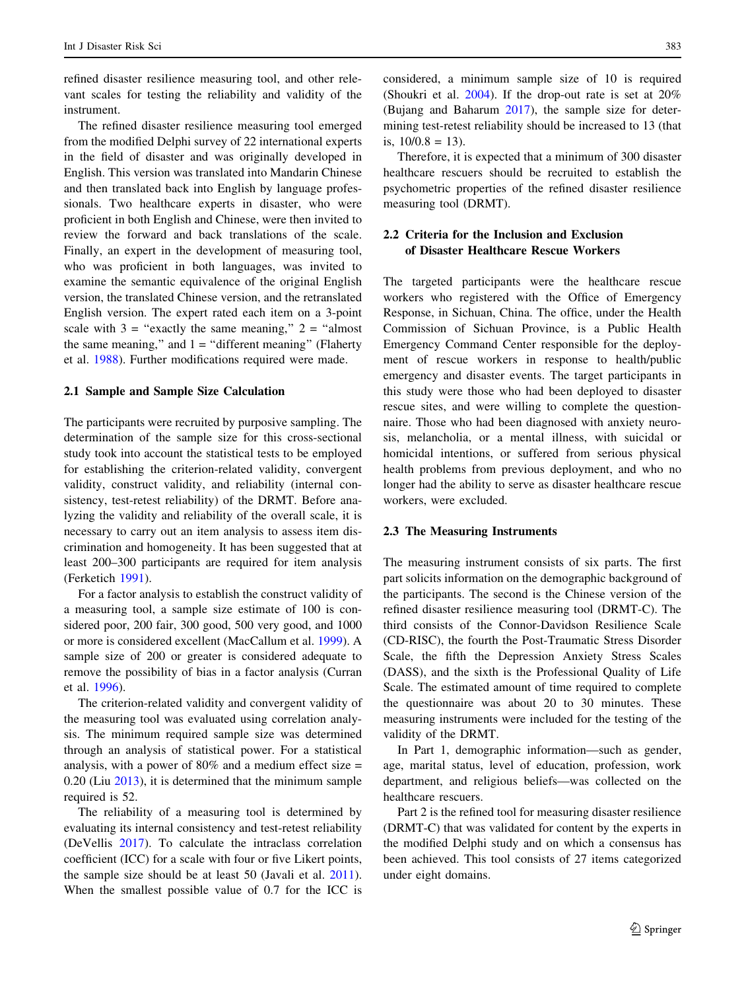refined disaster resilience measuring tool, and other relevant scales for testing the reliability and validity of the instrument.

The refined disaster resilience measuring tool emerged from the modified Delphi survey of 22 international experts in the field of disaster and was originally developed in English. This version was translated into Mandarin Chinese and then translated back into English by language professionals. Two healthcare experts in disaster, who were proficient in both English and Chinese, were then invited to review the forward and back translations of the scale. Finally, an expert in the development of measuring tool, who was proficient in both languages, was invited to examine the semantic equivalence of the original English version, the translated Chinese version, and the retranslated English version. The expert rated each item on a 3-point scale with  $3 =$  "exactly the same meaning,"  $2 =$  "almost" the same meaning," and  $1 =$  "different meaning" (Flaherty et al. [1988\)](#page-10-0). Further modifications required were made.

#### 2.1 Sample and Sample Size Calculation

The participants were recruited by purposive sampling. The determination of the sample size for this cross-sectional study took into account the statistical tests to be employed for establishing the criterion-related validity, convergent validity, construct validity, and reliability (internal consistency, test-retest reliability) of the DRMT. Before analyzing the validity and reliability of the overall scale, it is necessary to carry out an item analysis to assess item discrimination and homogeneity. It has been suggested that at least 200–300 participants are required for item analysis (Ferketich [1991](#page-10-0)).

For a factor analysis to establish the construct validity of a measuring tool, a sample size estimate of 100 is considered poor, 200 fair, 300 good, 500 very good, and 1000 or more is considered excellent (MacCallum et al. [1999\)](#page-11-0). A sample size of 200 or greater is considered adequate to remove the possibility of bias in a factor analysis (Curran et al. [1996\)](#page-10-0).

The criterion-related validity and convergent validity of the measuring tool was evaluated using correlation analysis. The minimum required sample size was determined through an analysis of statistical power. For a statistical analysis, with a power of  $80\%$  and a medium effect size = 0.20 (Liu [2013](#page-11-0)), it is determined that the minimum sample required is 52.

The reliability of a measuring tool is determined by evaluating its internal consistency and test-retest reliability (DeVellis [2017](#page-10-0)). To calculate the intraclass correlation coefficient (ICC) for a scale with four or five Likert points, the sample size should be at least 50 (Javali et al. [2011](#page-11-0)). When the smallest possible value of 0.7 for the ICC is considered, a minimum sample size of 10 is required (Shoukri et al. [2004](#page-11-0)). If the drop-out rate is set at 20% (Bujang and Baharum [2017\)](#page-10-0), the sample size for determining test-retest reliability should be increased to 13 (that is,  $10/0.8 = 13$ ).

Therefore, it is expected that a minimum of 300 disaster healthcare rescuers should be recruited to establish the psychometric properties of the refined disaster resilience measuring tool (DRMT).

# 2.2 Criteria for the Inclusion and Exclusion of Disaster Healthcare Rescue Workers

The targeted participants were the healthcare rescue workers who registered with the Office of Emergency Response, in Sichuan, China. The office, under the Health Commission of Sichuan Province, is a Public Health Emergency Command Center responsible for the deployment of rescue workers in response to health/public emergency and disaster events. The target participants in this study were those who had been deployed to disaster rescue sites, and were willing to complete the questionnaire. Those who had been diagnosed with anxiety neurosis, melancholia, or a mental illness, with suicidal or homicidal intentions, or suffered from serious physical health problems from previous deployment, and who no longer had the ability to serve as disaster healthcare rescue workers, were excluded.

## 2.3 The Measuring Instruments

The measuring instrument consists of six parts. The first part solicits information on the demographic background of the participants. The second is the Chinese version of the refined disaster resilience measuring tool (DRMT-C). The third consists of the Connor-Davidson Resilience Scale (CD-RISC), the fourth the Post-Traumatic Stress Disorder Scale, the fifth the Depression Anxiety Stress Scales (DASS), and the sixth is the Professional Quality of Life Scale. The estimated amount of time required to complete the questionnaire was about 20 to 30 minutes. These measuring instruments were included for the testing of the validity of the DRMT.

In Part 1, demographic information—such as gender, age, marital status, level of education, profession, work department, and religious beliefs—was collected on the healthcare rescuers.

Part 2 is the refined tool for measuring disaster resilience (DRMT-C) that was validated for content by the experts in the modified Delphi study and on which a consensus has been achieved. This tool consists of 27 items categorized under eight domains.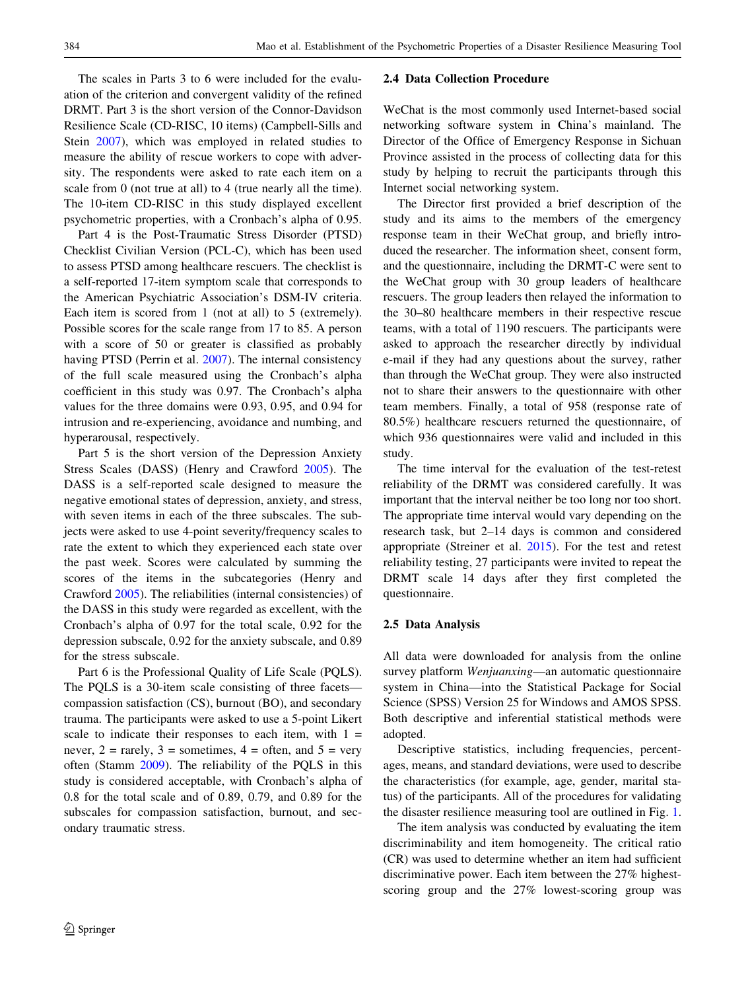The scales in Parts 3 to 6 were included for the evaluation of the criterion and convergent validity of the refined DRMT. Part 3 is the short version of the Connor-Davidson Resilience Scale (CD-RISC, 10 items) (Campbell-Sills and Stein [2007\)](#page-10-0), which was employed in related studies to measure the ability of rescue workers to cope with adversity. The respondents were asked to rate each item on a scale from 0 (not true at all) to 4 (true nearly all the time). The 10-item CD-RISC in this study displayed excellent psychometric properties, with a Cronbach's alpha of 0.95.

Part 4 is the Post-Traumatic Stress Disorder (PTSD) Checklist Civilian Version (PCL-C), which has been used to assess PTSD among healthcare rescuers. The checklist is a self-reported 17-item symptom scale that corresponds to the American Psychiatric Association's DSM-IV criteria. Each item is scored from 1 (not at all) to 5 (extremely). Possible scores for the scale range from 17 to 85. A person with a score of 50 or greater is classified as probably having PTSD (Perrin et al. [2007\)](#page-11-0). The internal consistency of the full scale measured using the Cronbach's alpha coefficient in this study was 0.97. The Cronbach's alpha values for the three domains were 0.93, 0.95, and 0.94 for intrusion and re-experiencing, avoidance and numbing, and hyperarousal, respectively.

Part 5 is the short version of the Depression Anxiety Stress Scales (DASS) (Henry and Crawford [2005\)](#page-10-0). The DASS is a self-reported scale designed to measure the negative emotional states of depression, anxiety, and stress, with seven items in each of the three subscales. The subjects were asked to use 4-point severity/frequency scales to rate the extent to which they experienced each state over the past week. Scores were calculated by summing the scores of the items in the subcategories (Henry and Crawford [2005\)](#page-10-0). The reliabilities (internal consistencies) of the DASS in this study were regarded as excellent, with the Cronbach's alpha of 0.97 for the total scale, 0.92 for the depression subscale, 0.92 for the anxiety subscale, and 0.89 for the stress subscale.

Part 6 is the Professional Quality of Life Scale (PQLS). The PQLS is a 30-item scale consisting of three facets compassion satisfaction (CS), burnout (BO), and secondary trauma. The participants were asked to use a 5-point Likert scale to indicate their responses to each item, with  $1 =$ never,  $2 = \text{rarely}, 3 = \text{sometimes}, 4 = \text{often}, \text{ and } 5 = \text{very}$ often (Stamm [2009\)](#page-11-0). The reliability of the PQLS in this study is considered acceptable, with Cronbach's alpha of 0.8 for the total scale and of 0.89, 0.79, and 0.89 for the subscales for compassion satisfaction, burnout, and secondary traumatic stress.

#### 2.4 Data Collection Procedure

WeChat is the most commonly used Internet-based social networking software system in China's mainland. The Director of the Office of Emergency Response in Sichuan Province assisted in the process of collecting data for this study by helping to recruit the participants through this Internet social networking system.

The Director first provided a brief description of the study and its aims to the members of the emergency response team in their WeChat group, and briefly introduced the researcher. The information sheet, consent form, and the questionnaire, including the DRMT-C were sent to the WeChat group with 30 group leaders of healthcare rescuers. The group leaders then relayed the information to the 30–80 healthcare members in their respective rescue teams, with a total of 1190 rescuers. The participants were asked to approach the researcher directly by individual e-mail if they had any questions about the survey, rather than through the WeChat group. They were also instructed not to share their answers to the questionnaire with other team members. Finally, a total of 958 (response rate of 80.5%) healthcare rescuers returned the questionnaire, of which 936 questionnaires were valid and included in this study.

The time interval for the evaluation of the test-retest reliability of the DRMT was considered carefully. It was important that the interval neither be too long nor too short. The appropriate time interval would vary depending on the research task, but 2–14 days is common and considered appropriate (Streiner et al. [2015\)](#page-11-0). For the test and retest reliability testing, 27 participants were invited to repeat the DRMT scale 14 days after they first completed the questionnaire.

#### 2.5 Data Analysis

All data were downloaded for analysis from the online survey platform Wenjuanxing—an automatic questionnaire system in China—into the Statistical Package for Social Science (SPSS) Version 25 for Windows and AMOS SPSS. Both descriptive and inferential statistical methods were adopted.

Descriptive statistics, including frequencies, percentages, means, and standard deviations, were used to describe the characteristics (for example, age, gender, marital status) of the participants. All of the procedures for validating the disaster resilience measuring tool are outlined in Fig. [1.](#page-4-0)

The item analysis was conducted by evaluating the item discriminability and item homogeneity. The critical ratio (CR) was used to determine whether an item had sufficient discriminative power. Each item between the 27% highestscoring group and the 27% lowest-scoring group was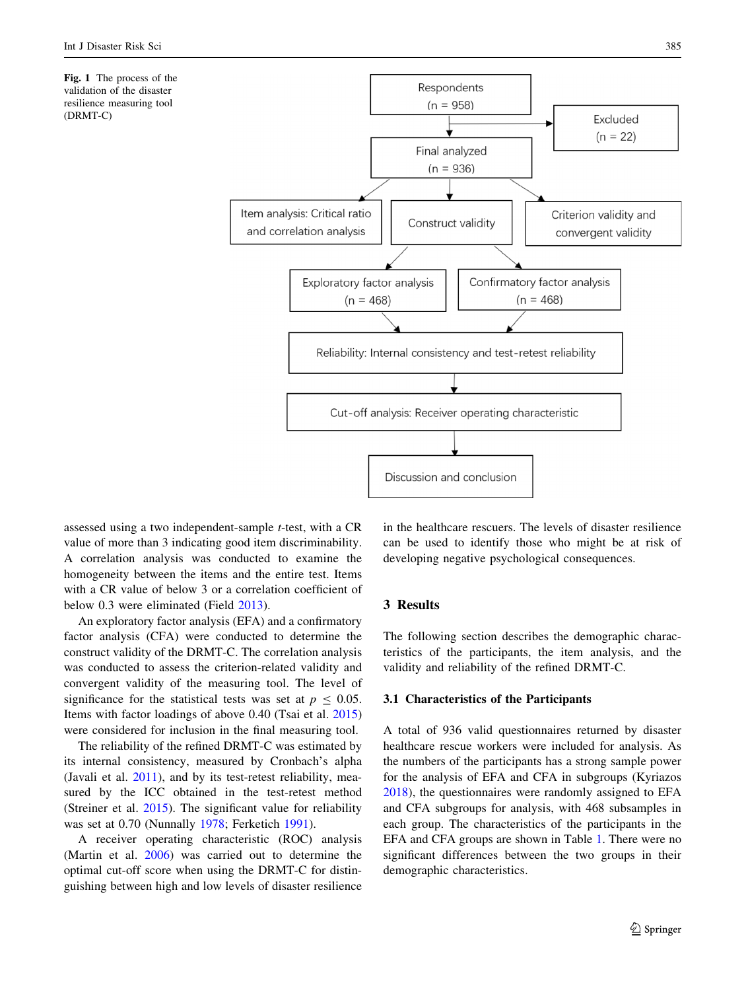<span id="page-4-0"></span>



assessed using a two independent-sample t-test, with a CR value of more than 3 indicating good item discriminability. A correlation analysis was conducted to examine the homogeneity between the items and the entire test. Items with a CR value of below 3 or a correlation coefficient of below 0.3 were eliminated (Field [2013](#page-10-0)).

An exploratory factor analysis (EFA) and a confirmatory factor analysis (CFA) were conducted to determine the construct validity of the DRMT-C. The correlation analysis was conducted to assess the criterion-related validity and convergent validity of the measuring tool. The level of significance for the statistical tests was set at  $p \le 0.05$ . Items with factor loadings of above 0.40 (Tsai et al. [2015\)](#page-11-0) were considered for inclusion in the final measuring tool.

The reliability of the refined DRMT-C was estimated by its internal consistency, measured by Cronbach's alpha (Javali et al. [2011](#page-11-0)), and by its test-retest reliability, measured by the ICC obtained in the test-retest method (Streiner et al. [2015\)](#page-11-0). The significant value for reliability was set at 0.70 (Nunnally [1978](#page-11-0); Ferketich [1991\)](#page-10-0).

A receiver operating characteristic (ROC) analysis (Martin et al. [2006\)](#page-11-0) was carried out to determine the optimal cut-off score when using the DRMT-C for distinguishing between high and low levels of disaster resilience

in the healthcare rescuers. The levels of disaster resilience can be used to identify those who might be at risk of developing negative psychological consequences.

## 3 Results

The following section describes the demographic characteristics of the participants, the item analysis, and the validity and reliability of the refined DRMT-C.

#### 3.1 Characteristics of the Participants

A total of 936 valid questionnaires returned by disaster healthcare rescue workers were included for analysis. As the numbers of the participants has a strong sample power for the analysis of EFA and CFA in subgroups (Kyriazos [2018](#page-11-0)), the questionnaires were randomly assigned to EFA and CFA subgroups for analysis, with 468 subsamples in each group. The characteristics of the participants in the EFA and CFA groups are shown in Table [1.](#page-5-0) There were no significant differences between the two groups in their demographic characteristics.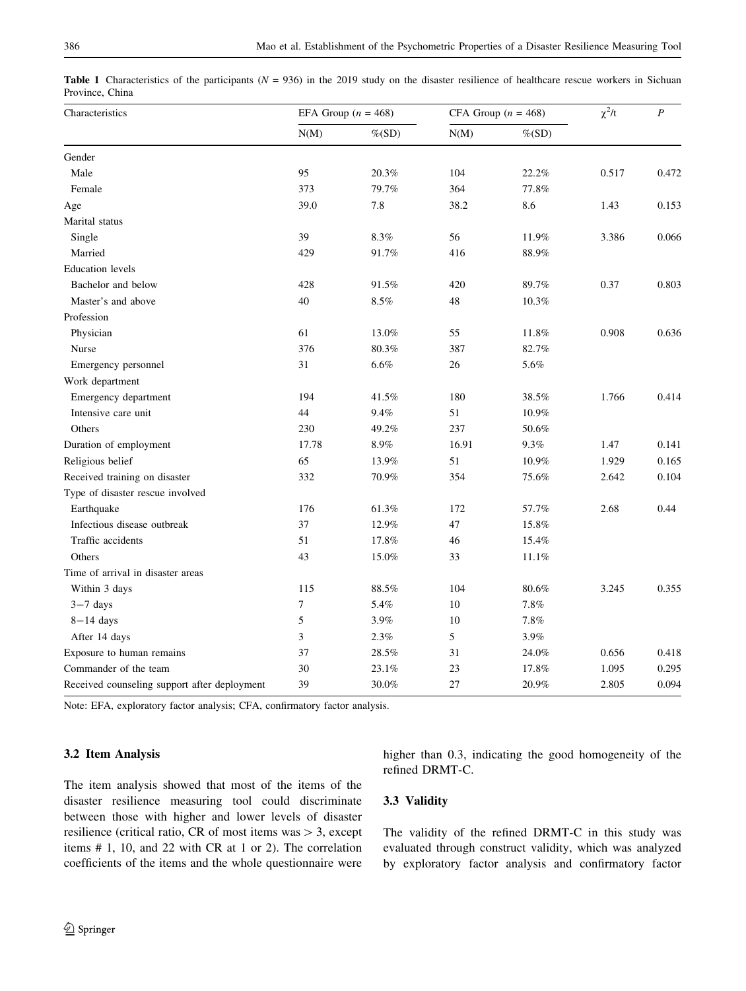<span id="page-5-0"></span>**Table 1** Characteristics of the participants ( $N = 936$ ) in the 2019 study on the disaster resilience of healthcare rescue workers in Sichuan Province, China

| Characteristics                              | EFA Group $(n = 468)$ |           | CFA Group ( $n = 468$ ) |           | $\chi^2/t$ | $\boldsymbol{P}$ |
|----------------------------------------------|-----------------------|-----------|-------------------------|-----------|------------|------------------|
|                                              | N(M)                  | $\%$ (SD) | N(M)                    | $\%$ (SD) |            |                  |
| Gender                                       |                       |           |                         |           |            |                  |
| Male                                         | 95                    | 20.3%     | 104                     | 22.2%     | 0.517      | 0.472            |
| Female                                       | 373                   | 79.7%     | 364                     | 77.8%     |            |                  |
| Age                                          | 39.0                  | 7.8       | 38.2                    | 8.6       | 1.43       | 0.153            |
| Marital status                               |                       |           |                         |           |            |                  |
| Single                                       | 39                    | 8.3%      | 56                      | 11.9%     | 3.386      | 0.066            |
| Married                                      | 429                   | 91.7%     | 416                     | 88.9%     |            |                  |
| <b>Education</b> levels                      |                       |           |                         |           |            |                  |
| Bachelor and below                           | 428                   | 91.5%     | 420                     | 89.7%     | 0.37       | 0.803            |
| Master's and above                           | 40                    | 8.5%      | 48                      | 10.3%     |            |                  |
| Profession                                   |                       |           |                         |           |            |                  |
| Physician                                    | 61                    | 13.0%     | 55                      | 11.8%     | 0.908      | 0.636            |
| Nurse                                        | 376                   | 80.3%     | 387                     | 82.7%     |            |                  |
| Emergency personnel                          | 31                    | $6.6\%$   | 26                      | 5.6%      |            |                  |
| Work department                              |                       |           |                         |           |            |                  |
| Emergency department                         | 194                   | 41.5%     | 180                     | 38.5%     | 1.766      | 0.414            |
| Intensive care unit                          | 44                    | 9.4%      | 51                      | 10.9%     |            |                  |
| Others                                       | 230                   | 49.2%     | 237                     | 50.6%     |            |                  |
| Duration of employment                       | 17.78                 | $8.9\%$   | 16.91                   | 9.3%      | 1.47       | 0.141            |
| Religious belief                             | 65                    | 13.9%     | 51                      | 10.9%     | 1.929      | 0.165            |
| Received training on disaster                | 332                   | 70.9%     | 354                     | 75.6%     | 2.642      | 0.104            |
| Type of disaster rescue involved             |                       |           |                         |           |            |                  |
| Earthquake                                   | 176                   | 61.3%     | 172                     | 57.7%     | 2.68       | 0.44             |
| Infectious disease outbreak                  | 37                    | 12.9%     | 47                      | 15.8%     |            |                  |
| Traffic accidents                            | 51                    | 17.8%     | 46                      | 15.4%     |            |                  |
| Others                                       | 43                    | 15.0%     | 33                      | 11.1%     |            |                  |
| Time of arrival in disaster areas            |                       |           |                         |           |            |                  |
| Within 3 days                                | 115                   | 88.5%     | 104                     | 80.6%     | 3.245      | 0.355            |
| $3-7$ days                                   | $\overline{7}$        | 5.4%      | 10                      | 7.8%      |            |                  |
| $8-14$ days                                  | 5                     | 3.9%      | 10                      | 7.8%      |            |                  |
| After 14 days                                | 3                     | 2.3%      | 5                       | 3.9%      |            |                  |
| Exposure to human remains                    | 37                    | 28.5%     | 31                      | 24.0%     | 0.656      | 0.418            |
| Commander of the team                        | 30                    | 23.1%     | 23                      | 17.8%     | 1.095      | 0.295            |
| Received counseling support after deployment | 39                    | 30.0%     | 27                      | $20.9\%$  | 2.805      | 0.094            |

Note: EFA, exploratory factor analysis; CFA, confirmatory factor analysis.

## 3.2 Item Analysis

The item analysis showed that most of the items of the disaster resilience measuring tool could discriminate between those with higher and lower levels of disaster resilience (critical ratio, CR of most items was  $> 3$ , except items # 1, 10, and 22 with CR at 1 or 2). The correlation coefficients of the items and the whole questionnaire were higher than 0.3, indicating the good homogeneity of the refined DRMT-C.

## 3.3 Validity

The validity of the refined DRMT-C in this study was evaluated through construct validity, which was analyzed by exploratory factor analysis and confirmatory factor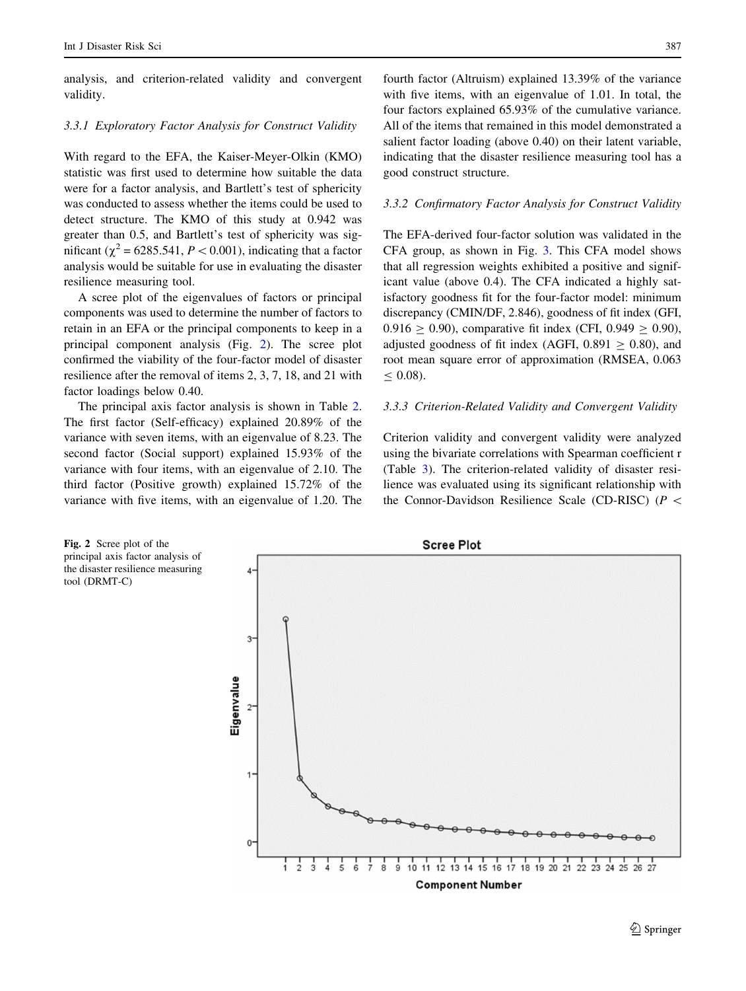analysis, and criterion-related validity and convergent validity.

#### 3.3.1 Exploratory Factor Analysis for Construct Validity

With regard to the EFA, the Kaiser-Meyer-Olkin (KMO) statistic was first used to determine how suitable the data were for a factor analysis, and Bartlett's test of sphericity was conducted to assess whether the items could be used to detect structure. The KMO of this study at 0.942 was greater than 0.5, and Bartlett's test of sphericity was significant ( $\chi^2$  = 6285.541, P < 0.001), indicating that a factor analysis would be suitable for use in evaluating the disaster resilience measuring tool.

A scree plot of the eigenvalues of factors or principal components was used to determine the number of factors to retain in an EFA or the principal components to keep in a principal component analysis (Fig. 2). The scree plot confirmed the viability of the four-factor model of disaster resilience after the removal of items 2, 3, 7, 18, and 21 with factor loadings below 0.40.

The principal axis factor analysis is shown in Table [2.](#page-7-0) The first factor (Self-efficacy) explained 20.89% of the variance with seven items, with an eigenvalue of 8.23. The second factor (Social support) explained 15.93% of the variance with four items, with an eigenvalue of 2.10. The third factor (Positive growth) explained 15.72% of the variance with five items, with an eigenvalue of 1.20. The

fourth factor (Altruism) explained 13.39% of the variance with five items, with an eigenvalue of 1.01. In total, the four factors explained 65.93% of the cumulative variance. All of the items that remained in this model demonstrated a salient factor loading (above 0.40) on their latent variable, indicating that the disaster resilience measuring tool has a good construct structure.

#### 3.3.2 Confirmatory Factor Analysis for Construct Validity

The EFA-derived four-factor solution was validated in the CFA group, as shown in Fig. [3.](#page-8-0) This CFA model shows that all regression weights exhibited a positive and significant value (above 0.4). The CFA indicated a highly satisfactory goodness fit for the four-factor model: minimum discrepancy (CMIN/DF, 2.846), goodness of fit index (GFI,  $0.916 \ge 0.90$ , comparative fit index (CFI,  $0.949 \ge 0.90$ ), adjusted goodness of fit index (AGFI,  $0.891 \ge 0.80$ ), and root mean square error of approximation (RMSEA, 0.063  $\leq 0.08$ ).

#### 3.3.3 Criterion-Related Validity and Convergent Validity

Criterion validity and convergent validity were analyzed using the bivariate correlations with Spearman coefficient r (Table [3](#page-8-0)). The criterion-related validity of disaster resilience was evaluated using its significant relationship with the Connor-Davidson Resilience Scale (CD-RISC) ( $P \leq$ 

Fig. 2 Scree plot of the **Scree Plot** principal axis factor analysis of the disaster resilience measuring tool (DRMT-C) ś Eigenvalue  $\overline{2}$ 1  $\frac{1}{8}$  $9, 10, 11$ 12 13 14 15 16 17 18 19 20 21 22 23 24 25 26 27 **Component Number**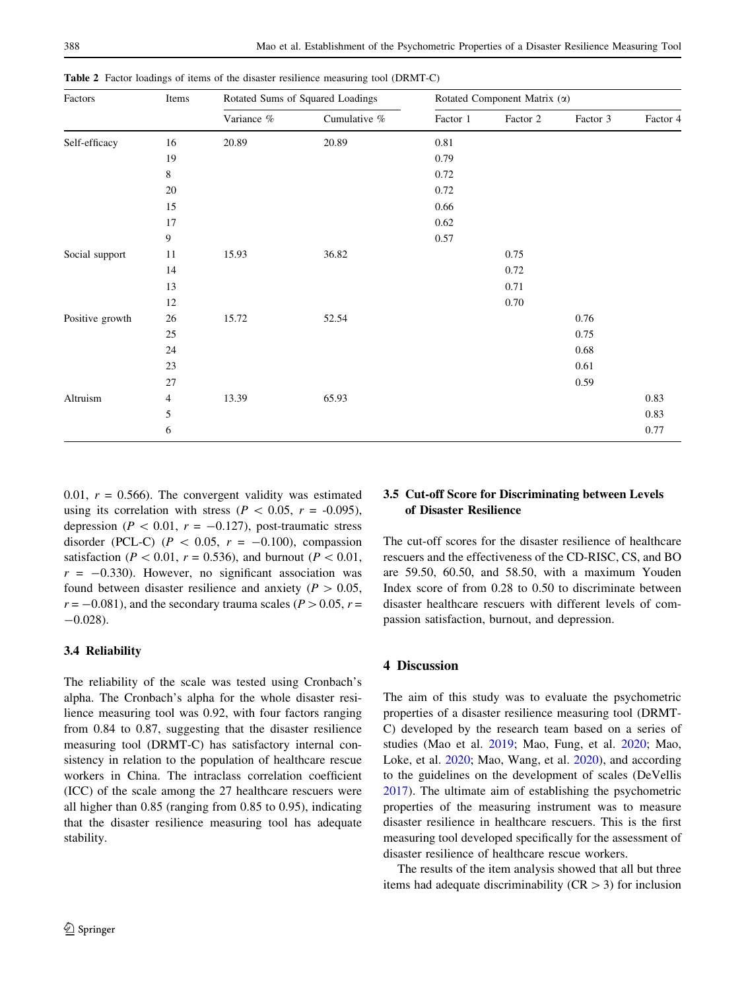| Factors         | Items          | Rotated Sums of Squared Loadings |              | Rotated Component Matrix (a) |          |          |          |  |
|-----------------|----------------|----------------------------------|--------------|------------------------------|----------|----------|----------|--|
|                 |                | Variance %                       | Cumulative % | Factor 1                     | Factor 2 | Factor 3 | Factor 4 |  |
| Self-efficacy   | 16             | 20.89                            | 20.89        | $0.81\,$                     |          |          |          |  |
|                 | 19             |                                  |              | 0.79                         |          |          |          |  |
|                 | $8\,$          |                                  |              | 0.72                         |          |          |          |  |
|                 | 20             |                                  |              | 0.72                         |          |          |          |  |
|                 | 15             |                                  |              | 0.66                         |          |          |          |  |
|                 | 17             |                                  |              | 0.62                         |          |          |          |  |
|                 | 9              |                                  |              | 0.57                         |          |          |          |  |
| Social support  | 11             | 15.93                            | 36.82        |                              | 0.75     |          |          |  |
|                 | 14             |                                  |              |                              | 0.72     |          |          |  |
|                 | 13             |                                  |              |                              | 0.71     |          |          |  |
|                 | 12             |                                  |              |                              | 0.70     |          |          |  |
| Positive growth | 26             | 15.72                            | 52.54        |                              |          | 0.76     |          |  |
|                 | 25             |                                  |              |                              |          | 0.75     |          |  |
|                 | 24             |                                  |              |                              |          | 0.68     |          |  |
|                 | 23             |                                  |              |                              |          | 0.61     |          |  |
|                 | 27             |                                  |              |                              |          | 0.59     |          |  |
| Altruism        | $\overline{4}$ | 13.39                            | 65.93        |                              |          |          | 0.83     |  |
|                 | 5              |                                  |              |                              |          |          | 0.83     |  |
|                 | 6              |                                  |              |                              |          |          | 0.77     |  |

<span id="page-7-0"></span>Table 2 Factor loadings of items of the disaster resilience measuring tool (DRMT-C)

0.01,  $r = 0.566$ . The convergent validity was estimated using its correlation with stress ( $P \, < 0.05$ ,  $r = -0.095$ ), depression ( $P < 0.01$ ,  $r = -0.127$ ), post-traumatic stress disorder (PCL-C) ( $P \, < 0.05$ ,  $r = -0.100$ ), compassion satisfaction ( $P < 0.01$ ,  $r = 0.536$ ), and burnout ( $P < 0.01$ ,  $r = -0.330$ . However, no significant association was found between disaster resilience and anxiety ( $P > 0.05$ ,  $r = -0.081$ ), and the secondary trauma scales ( $P > 0.05$ ,  $r =$  $-0.028$ ).

## 3.4 Reliability

The reliability of the scale was tested using Cronbach's alpha. The Cronbach's alpha for the whole disaster resilience measuring tool was 0.92, with four factors ranging from 0.84 to 0.87, suggesting that the disaster resilience measuring tool (DRMT-C) has satisfactory internal consistency in relation to the population of healthcare rescue workers in China. The intraclass correlation coefficient (ICC) of the scale among the 27 healthcare rescuers were all higher than 0.85 (ranging from 0.85 to 0.95), indicating that the disaster resilience measuring tool has adequate stability.

## 3.5 Cut-off Score for Discriminating between Levels of Disaster Resilience

The cut-off scores for the disaster resilience of healthcare rescuers and the effectiveness of the CD-RISC, CS, and BO are 59.50, 60.50, and 58.50, with a maximum Youden Index score of from 0.28 to 0.50 to discriminate between disaster healthcare rescuers with different levels of compassion satisfaction, burnout, and depression.

#### 4 Discussion

The aim of this study was to evaluate the psychometric properties of a disaster resilience measuring tool (DRMT-C) developed by the research team based on a series of studies (Mao et al. [2019](#page-11-0); Mao, Fung, et al. [2020](#page-11-0); Mao, Loke, et al. [2020;](#page-11-0) Mao, Wang, et al. [2020](#page-11-0)), and according to the guidelines on the development of scales (DeVellis [2017](#page-10-0)). The ultimate aim of establishing the psychometric properties of the measuring instrument was to measure disaster resilience in healthcare rescuers. This is the first measuring tool developed specifically for the assessment of disaster resilience of healthcare rescue workers.

The results of the item analysis showed that all but three items had adequate discriminability ( $CR > 3$ ) for inclusion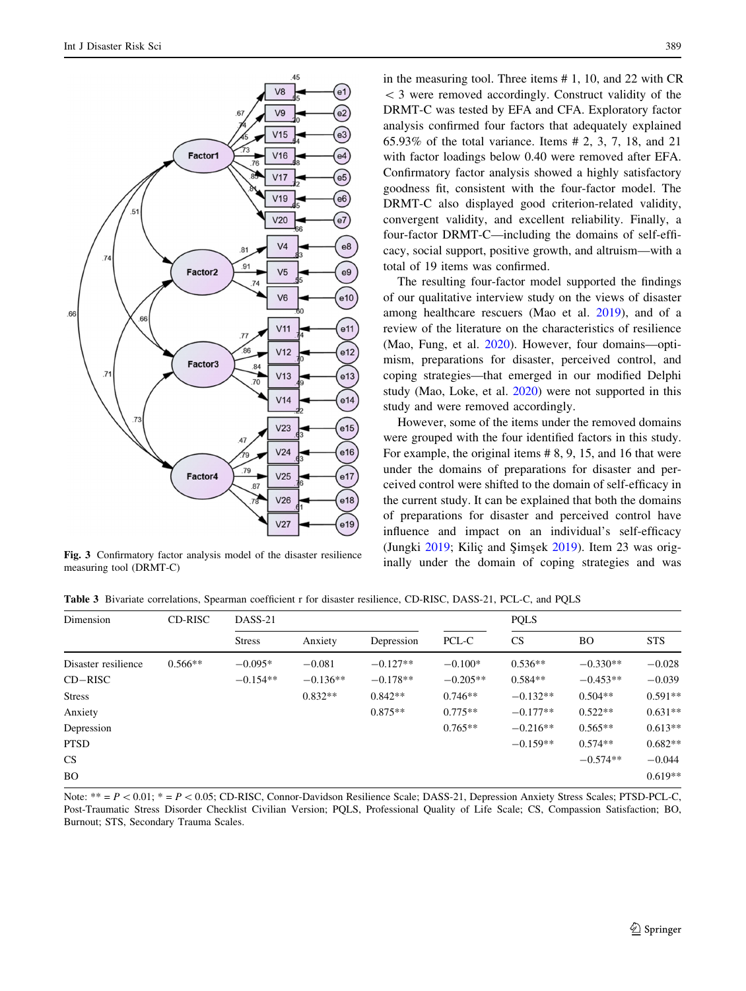<span id="page-8-0"></span>

Fig. 3 Confirmatory factor analysis model of the disaster resilience<br>magnetic confirmatory factor analysis model of the disaster resilience<br>inally under the domain of coping strategies and was measuring tool (DRMT-C)

in the measuring tool. Three items # 1, 10, and 22 with CR  $<$  3 were removed accordingly. Construct validity of the DRMT-C was tested by EFA and CFA. Exploratory factor analysis confirmed four factors that adequately explained 65.93% of the total variance. Items # 2, 3, 7, 18, and 21 with factor loadings below 0.40 were removed after EFA. Confirmatory factor analysis showed a highly satisfactory goodness fit, consistent with the four-factor model. The DRMT-C also displayed good criterion-related validity, convergent validity, and excellent reliability. Finally, a four-factor DRMT-C—including the domains of self-efficacy, social support, positive growth, and altruism—with a total of 19 items was confirmed.

The resulting four-factor model supported the findings of our qualitative interview study on the views of disaster among healthcare rescuers (Mao et al. [2019](#page-11-0)), and of a review of the literature on the characteristics of resilience (Mao, Fung, et al. [2020](#page-11-0)). However, four domains—optimism, preparations for disaster, perceived control, and coping strategies—that emerged in our modified Delphi study (Mao, Loke, et al. [2020\)](#page-11-0) were not supported in this study and were removed accordingly.

However, some of the items under the removed domains were grouped with the four identified factors in this study. For example, the original items # 8, 9, 15, and 16 that were under the domains of preparations for disaster and perceived control were shifted to the domain of self-efficacy in the current study. It can be explained that both the domains of preparations for disaster and perceived control have influence and impact on an individual's self-efficacy (Jungki [2019;](#page-11-0) Kiliç and Şimşek [2019](#page-11-0)). Item 23 was orig-

Table 3 Bivariate correlations, Spearman coefficient r for disaster resilience, CD-RISC, DASS-21, PCL-C, and PQLS

| Dimension           | CD-RISC   | DASS-21       |            |            |            | <b>PQLS</b> |            |            |
|---------------------|-----------|---------------|------------|------------|------------|-------------|------------|------------|
|                     |           | <b>Stress</b> | Anxiety    | Depression | PCL-C      | <b>CS</b>   | <b>BO</b>  | <b>STS</b> |
| Disaster resilience | $0.566**$ | $-0.095*$     | $-0.081$   | $-0.127**$ | $-0.100*$  | $0.536**$   | $-0.330**$ | $-0.028$   |
| $CD-RISC$           |           | $-0.154**$    | $-0.136**$ | $-0.178**$ | $-0.205**$ | $0.584**$   | $-0.453**$ | $-0.039$   |
| <b>Stress</b>       |           |               | $0.832**$  | $0.842**$  | $0.746**$  | $-0.132**$  | $0.504**$  | $0.591**$  |
| Anxiety             |           |               |            | $0.875**$  | $0.775**$  | $-0.177**$  | $0.522**$  | $0.631**$  |
| Depression          |           |               |            |            | $0.765**$  | $-0.216**$  | $0.565**$  | $0.613**$  |
| <b>PTSD</b>         |           |               |            |            |            | $-0.159**$  | $0.574**$  | $0.682**$  |
| CS                  |           |               |            |            |            |             | $-0.574**$ | $-0.044$   |
| BO.                 |           |               |            |            |            |             |            | $0.619**$  |

Note:  $** = P \lt 0.01$ ;  $* = P \lt 0.05$ ; CD-RISC, Connor-Davidson Resilience Scale; DASS-21, Depression Anxiety Stress Scales; PTSD-PCL-C, Post-Traumatic Stress Disorder Checklist Civilian Version; PQLS, Professional Quality of Life Scale; CS, Compassion Satisfaction; BO, Burnout; STS, Secondary Trauma Scales.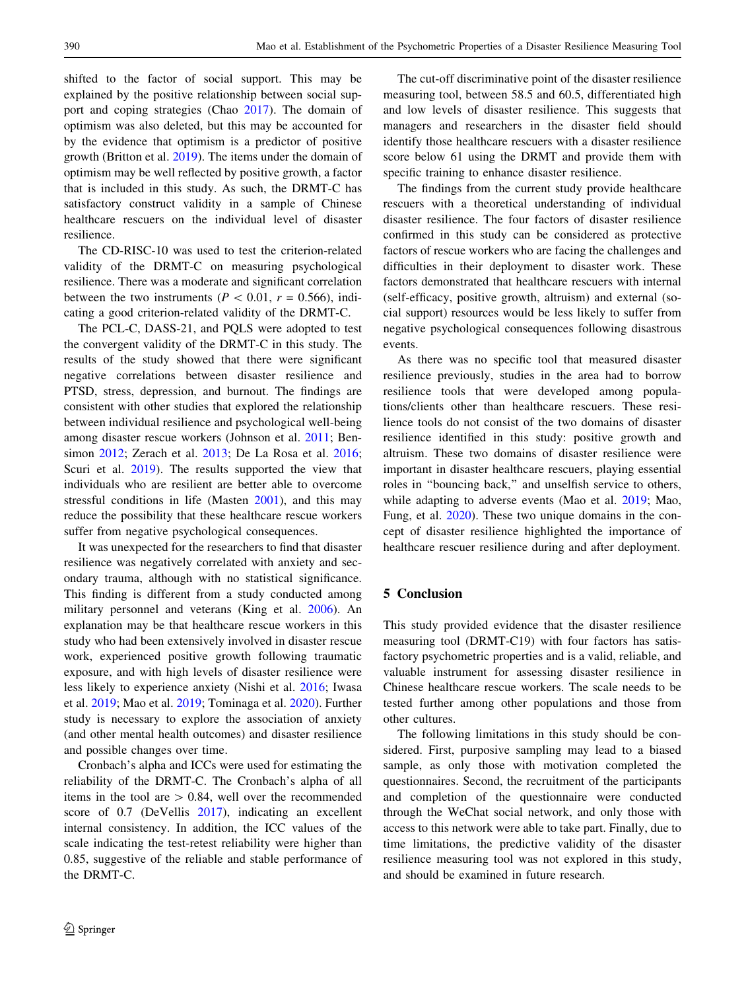shifted to the factor of social support. This may be explained by the positive relationship between social support and coping strategies (Chao [2017\)](#page-10-0). The domain of optimism was also deleted, but this may be accounted for by the evidence that optimism is a predictor of positive growth (Britton et al. [2019\)](#page-10-0). The items under the domain of optimism may be well reflected by positive growth, a factor that is included in this study. As such, the DRMT-C has satisfactory construct validity in a sample of Chinese healthcare rescuers on the individual level of disaster resilience.

The CD-RISC-10 was used to test the criterion-related validity of the DRMT-C on measuring psychological resilience. There was a moderate and significant correlation between the two instruments ( $P < 0.01$ ,  $r = 0.566$ ), indicating a good criterion-related validity of the DRMT-C.

The PCL-C, DASS-21, and PQLS were adopted to test the convergent validity of the DRMT-C in this study. The results of the study showed that there were significant negative correlations between disaster resilience and PTSD, stress, depression, and burnout. The findings are consistent with other studies that explored the relationship between individual resilience and psychological well-being among disaster rescue workers (Johnson et al. [2011](#page-11-0); Bensimon [2012](#page-10-0); Zerach et al. [2013;](#page-12-0) De La Rosa et al. [2016](#page-10-0); Scuri et al. [2019\)](#page-11-0). The results supported the view that individuals who are resilient are better able to overcome stressful conditions in life (Masten [2001](#page-11-0)), and this may reduce the possibility that these healthcare rescue workers suffer from negative psychological consequences.

It was unexpected for the researchers to find that disaster resilience was negatively correlated with anxiety and secondary trauma, although with no statistical significance. This finding is different from a study conducted among military personnel and veterans (King et al. [2006](#page-11-0)). An explanation may be that healthcare rescue workers in this study who had been extensively involved in disaster rescue work, experienced positive growth following traumatic exposure, and with high levels of disaster resilience were less likely to experience anxiety (Nishi et al. [2016;](#page-11-0) Iwasa et al. [2019;](#page-11-0) Mao et al. [2019](#page-11-0); Tominaga et al. [2020](#page-11-0)). Further study is necessary to explore the association of anxiety (and other mental health outcomes) and disaster resilience and possible changes over time.

Cronbach's alpha and ICCs were used for estimating the reliability of the DRMT-C. The Cronbach's alpha of all items in the tool are  $> 0.84$ , well over the recommended score of 0.7 (DeVellis [2017\)](#page-10-0), indicating an excellent internal consistency. In addition, the ICC values of the scale indicating the test-retest reliability were higher than 0.85, suggestive of the reliable and stable performance of the DRMT-C.

The cut-off discriminative point of the disaster resilience measuring tool, between 58.5 and 60.5, differentiated high and low levels of disaster resilience. This suggests that managers and researchers in the disaster field should identify those healthcare rescuers with a disaster resilience score below 61 using the DRMT and provide them with specific training to enhance disaster resilience.

The findings from the current study provide healthcare rescuers with a theoretical understanding of individual disaster resilience. The four factors of disaster resilience confirmed in this study can be considered as protective factors of rescue workers who are facing the challenges and difficulties in their deployment to disaster work. These factors demonstrated that healthcare rescuers with internal (self-efficacy, positive growth, altruism) and external (social support) resources would be less likely to suffer from negative psychological consequences following disastrous events.

As there was no specific tool that measured disaster resilience previously, studies in the area had to borrow resilience tools that were developed among populations/clients other than healthcare rescuers. These resilience tools do not consist of the two domains of disaster resilience identified in this study: positive growth and altruism. These two domains of disaster resilience were important in disaster healthcare rescuers, playing essential roles in ''bouncing back,'' and unselfish service to others, while adapting to adverse events (Mao et al. [2019;](#page-11-0) Mao, Fung, et al. [2020](#page-11-0)). These two unique domains in the concept of disaster resilience highlighted the importance of healthcare rescuer resilience during and after deployment.

## 5 Conclusion

This study provided evidence that the disaster resilience measuring tool (DRMT-C19) with four factors has satisfactory psychometric properties and is a valid, reliable, and valuable instrument for assessing disaster resilience in Chinese healthcare rescue workers. The scale needs to be tested further among other populations and those from other cultures.

The following limitations in this study should be considered. First, purposive sampling may lead to a biased sample, as only those with motivation completed the questionnaires. Second, the recruitment of the participants and completion of the questionnaire were conducted through the WeChat social network, and only those with access to this network were able to take part. Finally, due to time limitations, the predictive validity of the disaster resilience measuring tool was not explored in this study, and should be examined in future research.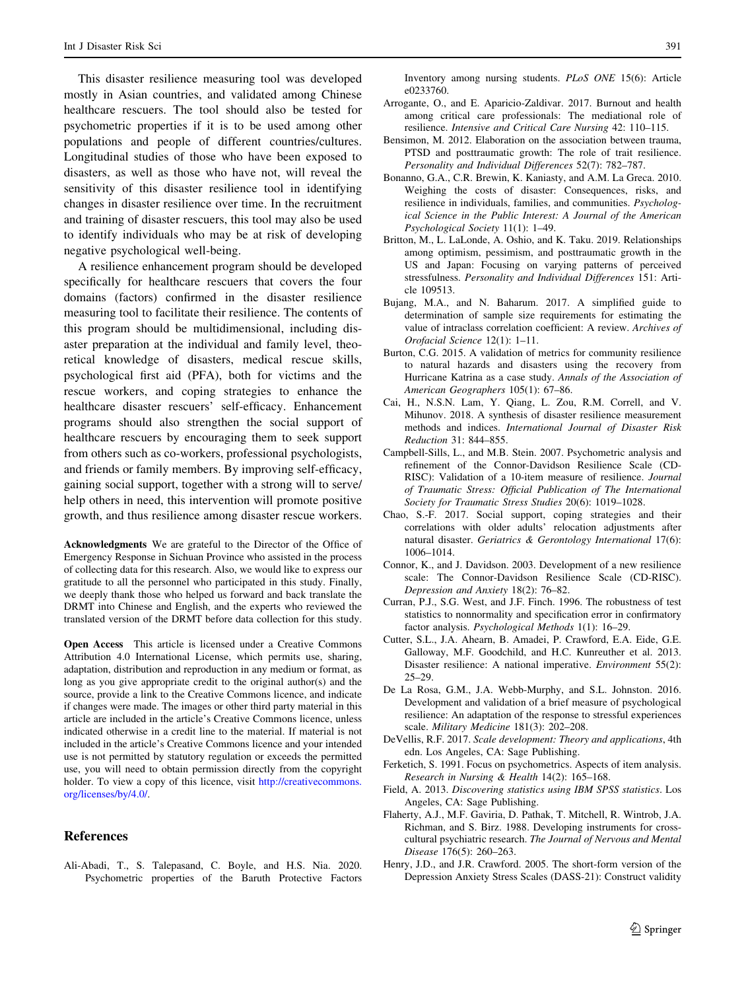<span id="page-10-0"></span>This disaster resilience measuring tool was developed mostly in Asian countries, and validated among Chinese healthcare rescuers. The tool should also be tested for psychometric properties if it is to be used among other populations and people of different countries/cultures. Longitudinal studies of those who have been exposed to disasters, as well as those who have not, will reveal the sensitivity of this disaster resilience tool in identifying changes in disaster resilience over time. In the recruitment and training of disaster rescuers, this tool may also be used to identify individuals who may be at risk of developing negative psychological well-being.

A resilience enhancement program should be developed specifically for healthcare rescuers that covers the four domains (factors) confirmed in the disaster resilience measuring tool to facilitate their resilience. The contents of this program should be multidimensional, including disaster preparation at the individual and family level, theoretical knowledge of disasters, medical rescue skills, psychological first aid (PFA), both for victims and the rescue workers, and coping strategies to enhance the healthcare disaster rescuers' self-efficacy. Enhancement programs should also strengthen the social support of healthcare rescuers by encouraging them to seek support from others such as co-workers, professional psychologists, and friends or family members. By improving self-efficacy, gaining social support, together with a strong will to serve/ help others in need, this intervention will promote positive growth, and thus resilience among disaster rescue workers.

Acknowledgments We are grateful to the Director of the Office of Emergency Response in Sichuan Province who assisted in the process of collecting data for this research. Also, we would like to express our gratitude to all the personnel who participated in this study. Finally, we deeply thank those who helped us forward and back translate the DRMT into Chinese and English, and the experts who reviewed the translated version of the DRMT before data collection for this study.

Open Access This article is licensed under a Creative Commons Attribution 4.0 International License, which permits use, sharing, adaptation, distribution and reproduction in any medium or format, as long as you give appropriate credit to the original author(s) and the source, provide a link to the Creative Commons licence, and indicate if changes were made. The images or other third party material in this article are included in the article's Creative Commons licence, unless indicated otherwise in a credit line to the material. If material is not included in the article's Creative Commons licence and your intended use is not permitted by statutory regulation or exceeds the permitted use, you will need to obtain permission directly from the copyright holder. To view a copy of this licence, visit [http://creativecommons.](http://creativecommons.org/licenses/by/4.0/) [org/licenses/by/4.0/.](http://creativecommons.org/licenses/by/4.0/)

## References

Ali-Abadi, T., S. Talepasand, C. Boyle, and H.S. Nia. 2020. Psychometric properties of the Baruth Protective Factors Inventory among nursing students. PLoS ONE 15(6): Article e0233760.

- Arrogante, O., and E. Aparicio-Zaldivar. 2017. Burnout and health among critical care professionals: The mediational role of resilience. Intensive and Critical Care Nursing 42: 110–115.
- Bensimon, M. 2012. Elaboration on the association between trauma, PTSD and posttraumatic growth: The role of trait resilience. Personality and Individual Differences 52(7): 782–787.
- Bonanno, G.A., C.R. Brewin, K. Kaniasty, and A.M. La Greca. 2010. Weighing the costs of disaster: Consequences, risks, and resilience in individuals, families, and communities. Psychological Science in the Public Interest: A Journal of the American Psychological Society 11(1): 1–49.
- Britton, M., L. LaLonde, A. Oshio, and K. Taku. 2019. Relationships among optimism, pessimism, and posttraumatic growth in the US and Japan: Focusing on varying patterns of perceived stressfulness. Personality and Individual Differences 151: Article 109513.
- Bujang, M.A., and N. Baharum. 2017. A simplified guide to determination of sample size requirements for estimating the value of intraclass correlation coefficient: A review. Archives of Orofacial Science 12(1): 1–11.
- Burton, C.G. 2015. A validation of metrics for community resilience to natural hazards and disasters using the recovery from Hurricane Katrina as a case study. Annals of the Association of American Geographers 105(1): 67–86.
- Cai, H., N.S.N. Lam, Y. Qiang, L. Zou, R.M. Correll, and V. Mihunov. 2018. A synthesis of disaster resilience measurement methods and indices. International Journal of Disaster Risk Reduction 31: 844–855.
- Campbell-Sills, L., and M.B. Stein. 2007. Psychometric analysis and refinement of the Connor-Davidson Resilience Scale (CD-RISC): Validation of a 10-item measure of resilience. Journal of Traumatic Stress: Official Publication of The International Society for Traumatic Stress Studies 20(6): 1019–1028.
- Chao, S.-F. 2017. Social support, coping strategies and their correlations with older adults' relocation adjustments after natural disaster. Geriatrics & Gerontology International 17(6): 1006–1014.
- Connor, K., and J. Davidson. 2003. Development of a new resilience scale: The Connor-Davidson Resilience Scale (CD-RISC). Depression and Anxiety 18(2): 76–82.
- Curran, P.J., S.G. West, and J.F. Finch. 1996. The robustness of test statistics to nonnormality and specification error in confirmatory factor analysis. Psychological Methods 1(1): 16–29.
- Cutter, S.L., J.A. Ahearn, B. Amadei, P. Crawford, E.A. Eide, G.E. Galloway, M.F. Goodchild, and H.C. Kunreuther et al. 2013. Disaster resilience: A national imperative. Environment 55(2): 25–29.
- De La Rosa, G.M., J.A. Webb-Murphy, and S.L. Johnston. 2016. Development and validation of a brief measure of psychological resilience: An adaptation of the response to stressful experiences scale. Military Medicine 181(3): 202–208.
- DeVellis, R.F. 2017. Scale development: Theory and applications, 4th edn. Los Angeles, CA: Sage Publishing.
- Ferketich, S. 1991. Focus on psychometrics. Aspects of item analysis. Research in Nursing & Health 14(2): 165–168.
- Field, A. 2013. Discovering statistics using IBM SPSS statistics. Los Angeles, CA: Sage Publishing.
- Flaherty, A.J., M.F. Gaviria, D. Pathak, T. Mitchell, R. Wintrob, J.A. Richman, and S. Birz. 1988. Developing instruments for crosscultural psychiatric research. The Journal of Nervous and Mental Disease 176(5): 260–263.
- Henry, J.D., and J.R. Crawford. 2005. The short-form version of the Depression Anxiety Stress Scales (DASS-21): Construct validity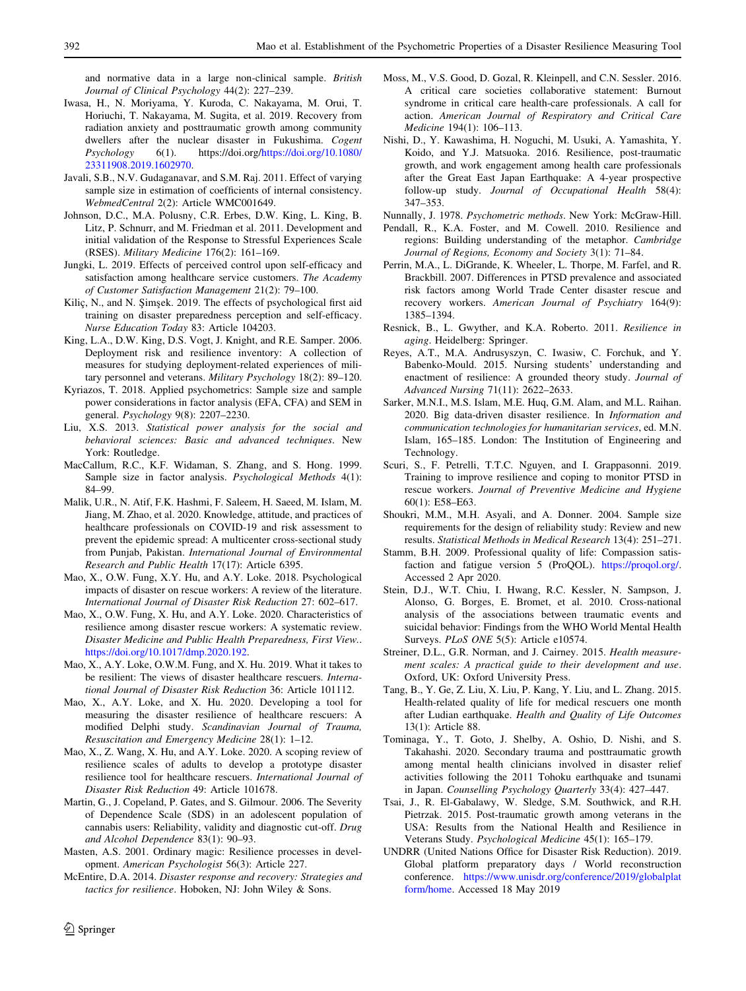<span id="page-11-0"></span>and normative data in a large non-clinical sample. British Journal of Clinical Psychology 44(2): 227–239.

- Iwasa, H., N. Moriyama, Y. Kuroda, C. Nakayama, M. Orui, T. Horiuchi, T. Nakayama, M. Sugita, et al. 2019. Recovery from radiation anxiety and posttraumatic growth among community dwellers after the nuclear disaster in Fukushima. Cogent Psychology 6(1). https://doi.org/https://doi.org/10.1080/  $6(1)$ . https://doi.org/[https://doi.org/10.1080/](https://doi.org/10.1080/23311908.2019.1602970) [23311908.2019.1602970.](https://doi.org/10.1080/23311908.2019.1602970)
- Javali, S.B., N.V. Gudaganavar, and S.M. Raj. 2011. Effect of varying sample size in estimation of coefficients of internal consistency. WebmedCentral 2(2): Article WMC001649.
- Johnson, D.C., M.A. Polusny, C.R. Erbes, D.W. King, L. King, B. Litz, P. Schnurr, and M. Friedman et al. 2011. Development and initial validation of the Response to Stressful Experiences Scale (RSES). Military Medicine 176(2): 161–169.
- Jungki, L. 2019. Effects of perceived control upon self-efficacy and satisfaction among healthcare service customers. The Academy of Customer Satisfaction Management 21(2): 79–100.
- Kiliç, N., and N. Şimşek. 2019. The effects of psychological first aid training on disaster preparedness perception and self-efficacy. Nurse Education Today 83: Article 104203.
- King, L.A., D.W. King, D.S. Vogt, J. Knight, and R.E. Samper. 2006. Deployment risk and resilience inventory: A collection of measures for studying deployment-related experiences of military personnel and veterans. Military Psychology 18(2): 89–120.
- Kyriazos, T. 2018. Applied psychometrics: Sample size and sample power considerations in factor analysis (EFA, CFA) and SEM in general. Psychology 9(8): 2207–2230.
- Liu, X.S. 2013. Statistical power analysis for the social and behavioral sciences: Basic and advanced techniques. New York: Routledge.
- MacCallum, R.C., K.F. Widaman, S. Zhang, and S. Hong. 1999. Sample size in factor analysis. Psychological Methods 4(1): 84–99.
- Malik, U.R., N. Atif, F.K. Hashmi, F. Saleem, H. Saeed, M. Islam, M. Jiang, M. Zhao, et al. 2020. Knowledge, attitude, and practices of healthcare professionals on COVID-19 and risk assessment to prevent the epidemic spread: A multicenter cross-sectional study from Punjab, Pakistan. International Journal of Environmental Research and Public Health 17(17): Article 6395.
- Mao, X., O.W. Fung, X.Y. Hu, and A.Y. Loke. 2018. Psychological impacts of disaster on rescue workers: A review of the literature. International Journal of Disaster Risk Reduction 27: 602–617.
- Mao, X., O.W. Fung, X. Hu, and A.Y. Loke. 2020. Characteristics of resilience among disaster rescue workers: A systematic review. Disaster Medicine and Public Health Preparedness, First View.. <https://doi.org/10.1017/dmp.2020.192>.
- Mao, X., A.Y. Loke, O.W.M. Fung, and X. Hu. 2019. What it takes to be resilient: The views of disaster healthcare rescuers. International Journal of Disaster Risk Reduction 36: Article 101112.
- Mao, X., A.Y. Loke, and X. Hu. 2020. Developing a tool for measuring the disaster resilience of healthcare rescuers: A modified Delphi study. Scandinavian Journal of Trauma, Resuscitation and Emergency Medicine 28(1): 1–12.
- Mao, X., Z. Wang, X. Hu, and A.Y. Loke. 2020. A scoping review of resilience scales of adults to develop a prototype disaster resilience tool for healthcare rescuers. International Journal of Disaster Risk Reduction 49: Article 101678.
- Martin, G., J. Copeland, P. Gates, and S. Gilmour. 2006. The Severity of Dependence Scale (SDS) in an adolescent population of cannabis users: Reliability, validity and diagnostic cut-off. Drug and Alcohol Dependence 83(1): 90–93.
- Masten, A.S. 2001. Ordinary magic: Resilience processes in development. American Psychologist 56(3): Article 227.
- McEntire, D.A. 2014. Disaster response and recovery: Strategies and tactics for resilience. Hoboken, NJ: John Wiley & Sons.
- Moss, M., V.S. Good, D. Gozal, R. Kleinpell, and C.N. Sessler. 2016. A critical care societies collaborative statement: Burnout syndrome in critical care health-care professionals. A call for action. American Journal of Respiratory and Critical Care Medicine 194(1): 106–113.
- Nishi, D., Y. Kawashima, H. Noguchi, M. Usuki, A. Yamashita, Y. Koido, and Y.J. Matsuoka. 2016. Resilience, post-traumatic growth, and work engagement among health care professionals after the Great East Japan Earthquake: A 4-year prospective follow-up study. Journal of Occupational Health 58(4): 347–353.
- Nunnally, J. 1978. Psychometric methods. New York: McGraw-Hill.
- Pendall, R., K.A. Foster, and M. Cowell. 2010. Resilience and regions: Building understanding of the metaphor. Cambridge Journal of Regions, Economy and Society 3(1): 71–84.
- Perrin, M.A., L. DiGrande, K. Wheeler, L. Thorpe, M. Farfel, and R. Brackbill. 2007. Differences in PTSD prevalence and associated risk factors among World Trade Center disaster rescue and recovery workers. American Journal of Psychiatry 164(9): 1385–1394.
- Resnick, B., L. Gwyther, and K.A. Roberto. 2011. Resilience in aging. Heidelberg: Springer.
- Reyes, A.T., M.A. Andrusyszyn, C. Iwasiw, C. Forchuk, and Y. Babenko-Mould. 2015. Nursing students' understanding and enactment of resilience: A grounded theory study. Journal of Advanced Nursing 71(11): 2622–2633.
- Sarker, M.N.I., M.S. Islam, M.E. Huq, G.M. Alam, and M.L. Raihan. 2020. Big data-driven disaster resilience. In Information and communication technologies for humanitarian services, ed. M.N. Islam, 165–185. London: The Institution of Engineering and Technology.
- Scuri, S., F. Petrelli, T.T.C. Nguyen, and I. Grappasonni. 2019. Training to improve resilience and coping to monitor PTSD in rescue workers. Journal of Preventive Medicine and Hygiene 60(1): E58–E63.
- Shoukri, M.M., M.H. Asyali, and A. Donner. 2004. Sample size requirements for the design of reliability study: Review and new results. Statistical Methods in Medical Research 13(4): 251–271.
- Stamm, B.H. 2009. Professional quality of life: Compassion satisfaction and fatigue version 5 (ProQOL). <https://proqol.org/>. Accessed 2 Apr 2020.
- Stein, D.J., W.T. Chiu, I. Hwang, R.C. Kessler, N. Sampson, J. Alonso, G. Borges, E. Bromet, et al. 2010. Cross-national analysis of the associations between traumatic events and suicidal behavior: Findings from the WHO World Mental Health Surveys. PLoS ONE 5(5): Article e10574.
- Streiner, D.L., G.R. Norman, and J. Cairney. 2015. Health measurement scales: A practical guide to their development and use. Oxford, UK: Oxford University Press.
- Tang, B., Y. Ge, Z. Liu, X. Liu, P. Kang, Y. Liu, and L. Zhang. 2015. Health-related quality of life for medical rescuers one month after Ludian earthquake. Health and Quality of Life Outcomes 13(1): Article 88.
- Tominaga, Y., T. Goto, J. Shelby, A. Oshio, D. Nishi, and S. Takahashi. 2020. Secondary trauma and posttraumatic growth among mental health clinicians involved in disaster relief activities following the 2011 Tohoku earthquake and tsunami in Japan. Counselling Psychology Quarterly 33(4): 427–447.
- Tsai, J., R. El-Gabalawy, W. Sledge, S.M. Southwick, and R.H. Pietrzak. 2015. Post-traumatic growth among veterans in the USA: Results from the National Health and Resilience in Veterans Study. Psychological Medicine 45(1): 165–179.
- UNDRR (United Nations Office for Disaster Risk Reduction). 2019. Global platform preparatory days / World reconstruction conference. [https://www.unisdr.org/conference/2019/globalplat](https://www.unisdr.org/conference/2019/globalplatform/home) [form/home.](https://www.unisdr.org/conference/2019/globalplatform/home) Accessed 18 May 2019